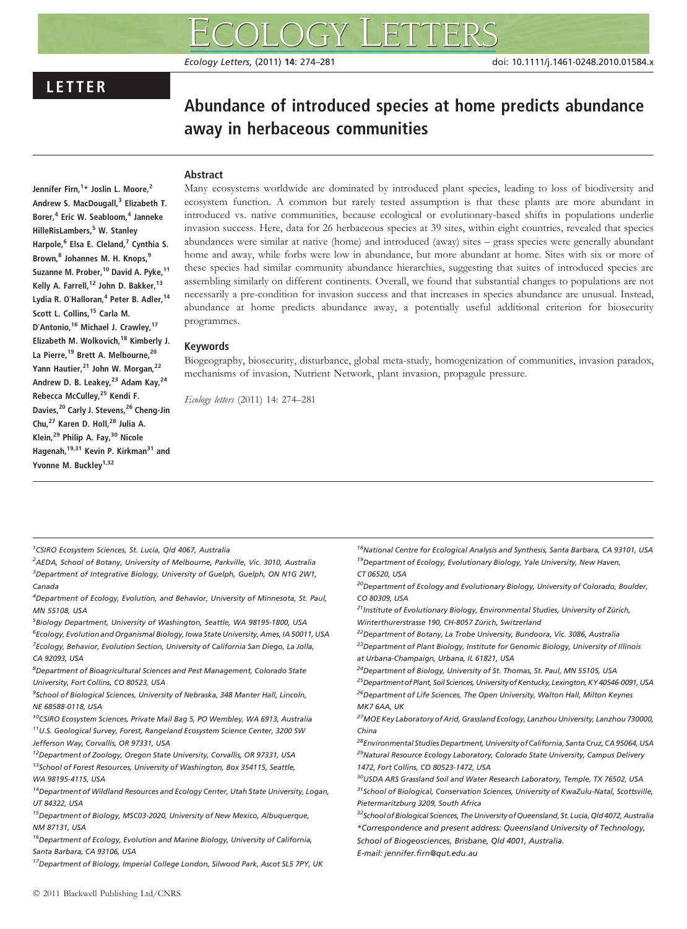Ecology Letters, (2011) 14: 274–281 doi: 10.1111/j.1461-0248.2010.01584.x

# LETTER

# Abundance of introduced species at home predicts abundance away in herbaceous communities

# Abstract

Jennifer Firn,<sup>1</sup>\* Joslin L. Moore,<sup>2</sup> Andrew S. MacDougall,<sup>3</sup> Elizabeth T. Borer,<sup>4</sup> Eric W. Seabloom,<sup>4</sup> Janneke HilleRisLambers,<sup>5</sup> W. Stanley Harpole,<sup>6</sup> Elsa E. Cleland,<sup>7</sup> Cynthia S. Brown,<sup>8</sup> Johannes M. H. Knops,<sup>9</sup> Suzanne M. Prober,<sup>10</sup> David A. Pyke,<sup>11</sup> Kelly A. Farrell,<sup>12</sup> John D. Bakker,<sup>13</sup> Lydia R. O'Halloran,<sup>4</sup> Peter B. Adler,<sup>14</sup> Scott L. Collins.<sup>15</sup> Carla M. D'Antonio,<sup>16</sup> Michael J. Crawley,<sup>17</sup> Elizabeth M. Wolkovich,<sup>18</sup> Kimberly J. La Pierre,<sup>19</sup> Brett A. Melbourne,<sup>20</sup> Yann Hautier, <sup>21</sup> John W. Morgan, <sup>22</sup> Andrew D. B. Leakey, <sup>23</sup> Adam Kay, <sup>24</sup> Rebecca McCulley,<sup>25</sup> Kendi F. Davies,<sup>20</sup> Carly J. Stevens,<sup>26</sup> Cheng-Jin Chu,<sup>27</sup> Karen D. Holl,<sup>28</sup> Julia A. Klein,<sup>29</sup> Philip A. Fay,<sup>30</sup> Nicole Hagenah,<sup>19,31</sup> Kevin P. Kirkman<sup>31</sup> and Yvonne M. Buckley<sup>1,32</sup>

Many ecosystems worldwide are dominated by introduced plant species, leading to loss of biodiversity and ecosystem function. A common but rarely tested assumption is that these plants are more abundant in introduced vs. native communities, because ecological or evolutionary-based shifts in populations underlie invasion success. Here, data for 26 herbaceous species at 39 sites, within eight countries, revealed that species abundances were similar at native (home) and introduced (away) sites – grass species were generally abundant home and away, while forbs were low in abundance, but more abundant at home. Sites with six or more of these species had similar community abundance hierarchies, suggesting that suites of introduced species are assembling similarly on different continents. Overall, we found that substantial changes to populations are not necessarily a pre-condition for invasion success and that increases in species abundance are unusual. Instead, abundance at home predicts abundance away, a potentially useful additional criterion for biosecurity programmes.

# Keywords

Biogeography, biosecurity, disturbance, global meta-study, homogenization of communities, invasion paradox, mechanisms of invasion, Nutrient Network, plant invasion, propagule pressure.

Ecology letters (2011) 14: 274–281

1 CSIRO Ecosystem Sciences, St. Lucia, Qld 4067, Australia

2 AEDA, School of Botany, University of Melbourne, Parkville, Vic. 3010, Australia <sup>3</sup>Department of Integrative Biology, University of Guelph, Guelph, ON N1G 2W1, Canada

4 Department of Ecology, Evolution, and Behavior, University of Minnesota, St. Paul, MN 55108, USA

5 Biology Department, University of Washington, Seattle, WA 98195-1800, USA <sup>6</sup> Ecology, Evolution and Organismal Biology, Iowa State University, Ames, IA 50011, USA <sup>7</sup> Ecology, Behavior, Evolution Section, University of California San Diego, La Jolla, CA 92093, USA

8 Department of Bioagricultural Sciences and Pest Management, Colorado State University, Fort Collins, CO 80523, USA

<sup>9</sup>School of Biological Sciences, University of Nebraska, 348 Manter Hall, Lincoln, NE 68588-0118, USA

<sup>10</sup>CSIRO Ecosystem Sciences, Private Mail Bag 5, PO Wembley, WA 6913, Australia 11U.S. Geological Survey, Forest, Rangeland Ecosystem Science Center, 3200 SW Jefferson Way, Corvallis, OR 97331, USA

<sup>12</sup>Department of Zoology, Oregon State University, Corvallis, OR 97331, USA  $13$ School of Forest Resources, University of Washington, Box 354115, Seattle, WA 98195-4115, USA

 $14$ Department of Wildland Resources and Ecology Center, Utah State University, Logan, UT 84322, USA

15Department of Biology, MSC03-2020, University of New Mexico, Albuquerque, NM 87131, USA

<sup>16</sup>Department of Ecology, Evolution and Marine Biology, University of California, Santa Barbara, CA 93106, USA

<sup>17</sup>Department of Biology, Imperial College London, Silwood Park, Ascot SL5 7PY, UK

<sup>18</sup>National Centre for Ecological Analysis and Synthesis, Santa Barbara, CA 93101, USA <sup>19</sup>Department of Ecology, Evolutionary Biology, Yale University, New Haven, CT 06520, USA

<sup>20</sup>Department of Ecology and Evolutionary Biology, University of Colorado, Boulder, CO 80309, USA

 $^{21}$ Institute of Evolutionary Biology, Environmental Studies, University of Zürich, Winterthurerstrasse 190, CH-8057 Zürich, Switzerland

<sup>22</sup>Department of Botany, La Trobe University, Bundoora, Vic. 3086, Australia

<sup>23</sup>Department of Plant Biology, Institute for Genomic Biology, University of Illinois at Urbana-Champaign, Urbana, IL 61821, USA

<sup>24</sup>Department of Biology, University of St. Thomas, St. Paul, MN 55105, USA

<sup>25</sup>Department of Plant, Soil Sciences, University of Kentucky, Lexington, KY 40546-0091, USA

<sup>26</sup>Department of Life Sciences, The Open University, Walton Hall, Milton Keynes MK7 6AA, UK

<sup>27</sup>MOE Key Laboratory of Arid, Grassland Ecology, Lanzhou University, Lanzhou 730000, China

<sup>28</sup>Environmental Studies Department, University of California, Santa Cruz, CA 95064, USA <sup>29</sup>Natural Resource Ecology Laboratory, Colorado State University, Campus Delivery 1472, Fort Collins, CO 80523-1472, USA

<sup>30</sup>USDA ARS Grassland Soil and Water Research Laboratory, Temple, TX 76502, USA  $31$ School of Biological, Conservation Sciences, University of KwaZulu-Natal, Scottsville, Pietermaritzburg 3209, South Africa

32 School of Biological Sciences, The University of Queensland, St. Lucia, Qld 4072, Australia \*Correspondence and present address: Queensland University of Technology,

School of Biogeosciences, Brisbane, Qld 4001, Australia.

E-mail: jennifer.firn@qut.edu.au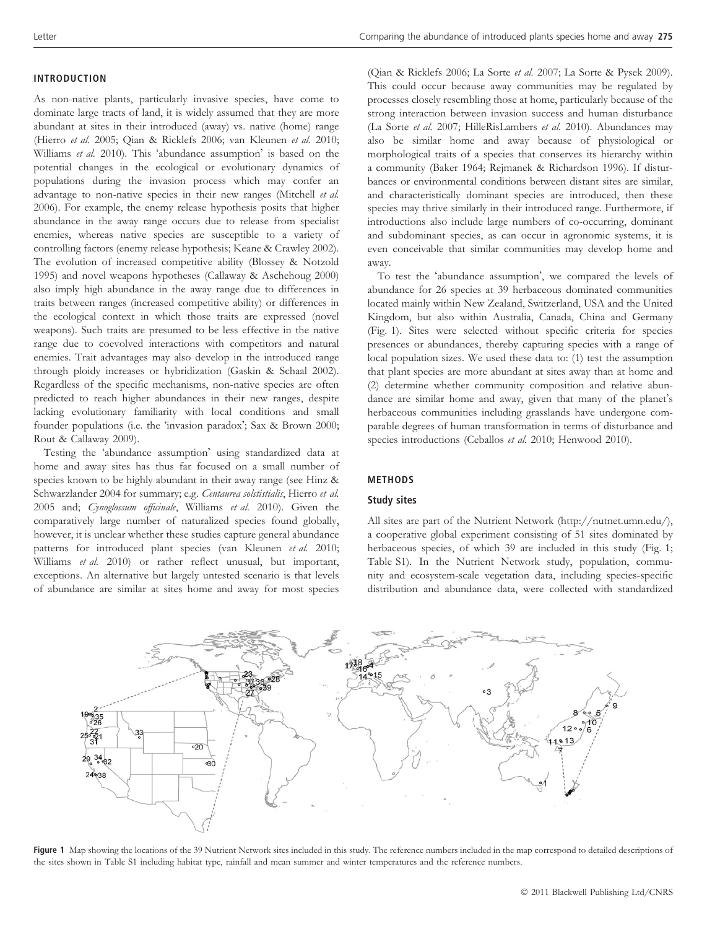#### INTRODUCTION

As non-native plants, particularly invasive species, have come to dominate large tracts of land, it is widely assumed that they are more abundant at sites in their introduced (away) vs. native (home) range (Hierro et al. 2005; Qian & Ricklefs 2006; van Kleunen et al. 2010; Williams et al. 2010). This 'abundance assumption' is based on the potential changes in the ecological or evolutionary dynamics of populations during the invasion process which may confer an advantage to non-native species in their new ranges (Mitchell et al. 2006). For example, the enemy release hypothesis posits that higher abundance in the away range occurs due to release from specialist enemies, whereas native species are susceptible to a variety of controlling factors (enemy release hypothesis; Keane & Crawley 2002). The evolution of increased competitive ability (Blossey & Notzold 1995) and novel weapons hypotheses (Callaway & Aschehoug 2000) also imply high abundance in the away range due to differences in traits between ranges (increased competitive ability) or differences in the ecological context in which those traits are expressed (novel weapons). Such traits are presumed to be less effective in the native range due to coevolved interactions with competitors and natural enemies. Trait advantages may also develop in the introduced range through ploidy increases or hybridization (Gaskin & Schaal 2002). Regardless of the specific mechanisms, non-native species are often predicted to reach higher abundances in their new ranges, despite lacking evolutionary familiarity with local conditions and small founder populations (i.e. the 'invasion paradox'; Sax & Brown 2000; Rout & Callaway 2009).

Testing the 'abundance assumption' using standardized data at home and away sites has thus far focused on a small number of species known to be highly abundant in their away range (see Hinz & Schwarzlander 2004 for summary; e.g. Centaurea solstistialis, Hierro et al. 2005 and; Cynoglossum officinale, Williams et al. 2010). Given the comparatively large number of naturalized species found globally, however, it is unclear whether these studies capture general abundance patterns for introduced plant species (van Kleunen et al. 2010; Williams et al. 2010) or rather reflect unusual, but important, exceptions. An alternative but largely untested scenario is that levels of abundance are similar at sites home and away for most species

(Qian & Ricklefs 2006; La Sorte et al. 2007; La Sorte & Pysek 2009). This could occur because away communities may be regulated by processes closely resembling those at home, particularly because of the strong interaction between invasion success and human disturbance (La Sorte et al. 2007; HilleRisLambers et al. 2010). Abundances may also be similar home and away because of physiological or morphological traits of a species that conserves its hierarchy within a community (Baker 1964; Rejmanek & Richardson 1996). If disturbances or environmental conditions between distant sites are similar, and characteristically dominant species are introduced, then these species may thrive similarly in their introduced range. Furthermore, if introductions also include large numbers of co-occurring, dominant and subdominant species, as can occur in agronomic systems, it is even conceivable that similar communities may develop home and away.

To test the 'abundance assumption', we compared the levels of abundance for 26 species at 39 herbaceous dominated communities located mainly within New Zealand, Switzerland, USA and the United Kingdom, but also within Australia, Canada, China and Germany (Fig. 1). Sites were selected without specific criteria for species presences or abundances, thereby capturing species with a range of local population sizes. We used these data to: (1) test the assumption that plant species are more abundant at sites away than at home and (2) determine whether community composition and relative abundance are similar home and away, given that many of the planet's herbaceous communities including grasslands have undergone comparable degrees of human transformation in terms of disturbance and species introductions (Ceballos et al. 2010; Henwood 2010).

#### METHODS

#### Study sites

All sites are part of the Nutrient Network (http://nutnet.umn.edu/), a cooperative global experiment consisting of 51 sites dominated by herbaceous species, of which 39 are included in this study (Fig. 1; Table S1). In the Nutrient Network study, population, community and ecosystem-scale vegetation data, including species-specific distribution and abundance data, were collected with standardized



Figure 1 Map showing the locations of the 39 Nutrient Network sites included in this study. The reference numbers included in the map correspond to detailed descriptions of the sites shown in Table S1 including habitat type, rainfall and mean summer and winter temperatures and the reference numbers.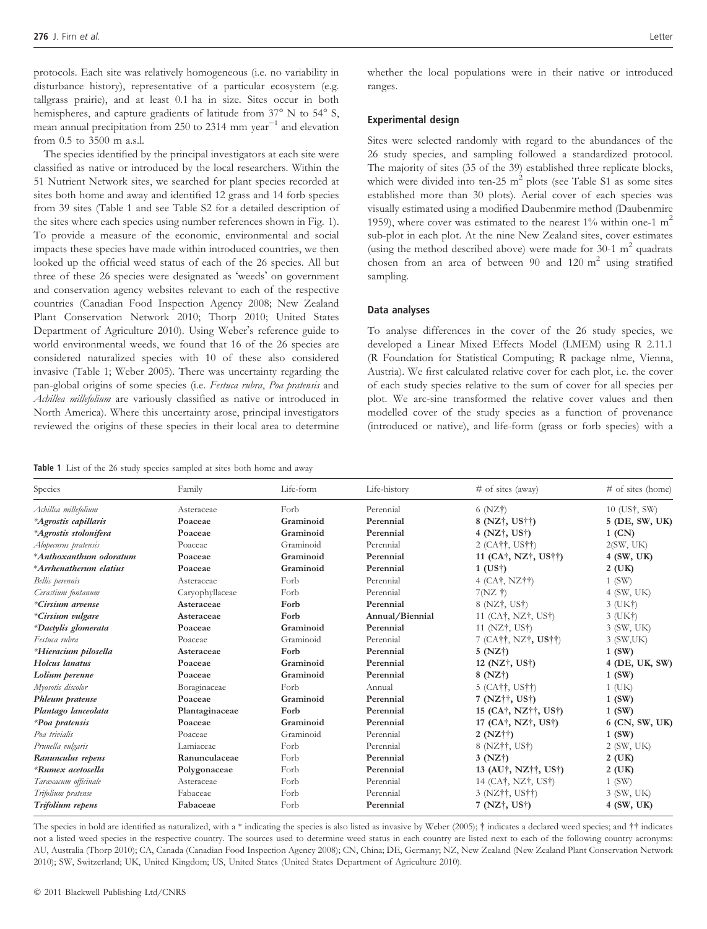protocols. Each site was relatively homogeneous (i.e. no variability in disturbance history), representative of a particular ecosystem (e.g. tallgrass prairie), and at least 0.1 ha in size. Sites occur in both hemispheres, and capture gradients of latitude from  $37^{\circ}$  N to  $54^{\circ}$  S, mean annual precipitation from 250 to 2314 mm  $year^{-1}$  and elevation from 0.5 to 3500 m a.s.l.

The species identified by the principal investigators at each site were classified as native or introduced by the local researchers. Within the 51 Nutrient Network sites, we searched for plant species recorded at sites both home and away and identified 12 grass and 14 forb species from 39 sites (Table 1 and see Table S2 for a detailed description of the sites where each species using number references shown in Fig. 1). To provide a measure of the economic, environmental and social impacts these species have made within introduced countries, we then looked up the official weed status of each of the 26 species. All but three of these 26 species were designated as 'weeds' on government and conservation agency websites relevant to each of the respective countries (Canadian Food Inspection Agency 2008; New Zealand Plant Conservation Network 2010; Thorp 2010; United States Department of Agriculture 2010). Using Weber's reference guide to world environmental weeds, we found that 16 of the 26 species are considered naturalized species with 10 of these also considered invasive (Table 1; Weber 2005). There was uncertainty regarding the pan-global origins of some species (i.e. Festuca rubra, Poa pratensis and Achillea millefolium are variously classified as native or introduced in North America). Where this uncertainty arose, principal investigators reviewed the origins of these species in their local area to determine

Table 1 List of the 26 study species sampled at sites both home and away

whether the local populations were in their native or introduced ranges.

#### Experimental design

Sites were selected randomly with regard to the abundances of the 26 study species, and sampling followed a standardized protocol. The majority of sites (35 of the 39) established three replicate blocks, which were divided into ten-25  $m^2$  plots (see Table S1 as some sites established more than 30 plots). Aerial cover of each species was visually estimated using a modified Daubenmire method (Daubenmire 1959), where cover was estimated to the nearest  $1\%$  within one-1 m<sup>2</sup> sub-plot in each plot. At the nine New Zealand sites, cover estimates (using the method described above) were made for 30-1  $m<sup>2</sup>$  quadrats chosen from an area of between 90 and 120  $m<sup>2</sup>$  using stratified sampling.

#### Data analyses

To analyse differences in the cover of the 26 study species, we developed a Linear Mixed Effects Model (LMEM) using R 2.11.1 (R Foundation for Statistical Computing; R package nlme, Vienna, Austria). We first calculated relative cover for each plot, i.e. the cover of each study species relative to the sum of cover for all species per plot. We arc-sine transformed the relative cover values and then modelled cover of the study species as a function of provenance (introduced or native), and life-form (grass or forb species) with a

| Species                  | Family          | Life-form | Life-history    | $\#$ of sites (away)                                       | # of sites (home)                      |
|--------------------------|-----------------|-----------|-----------------|------------------------------------------------------------|----------------------------------------|
| Achillea millefolium     | Asteraceae      | Forb      | Perennial       | $6$ (NZ $\dagger$ )                                        | $10 \text{ (US}^{\dagger}, \text{SW})$ |
| *Agrostis capillaris     | Poaceae         | Graminoid | Perennial       | 8 (NZ†, US††)                                              | 5 (DE, SW, UK)                         |
| *Agrostis stolonifera    | Poaceae         | Graminoid | Perennial       | 4 (NZ <sup>†</sup> , US <sup>†</sup> )                     | $1$ (CN)                               |
| Alopecurus pratensis     | Poaceae         | Graminoid | Perennial       | 2 (CA††, US††)                                             | 2(SW, UK)                              |
| *Anthoxanthum odoratum   | Poaceae         | Graminoid | Perennial       | 11 (CA <sup>†</sup> , NZ <sup>†</sup> , US <sup>††</sup> ) | 4 (SW, UK)                             |
| *Arrhenatherum elatius   | Poaceae         | Graminoid | Perennial       | $1$ (US $\dagger$ )                                        | $2$ (UK)                               |
| Bellis perennis          | Asteraceae      | Forb      | Perennial       | $4$ (CA <sub>†</sub> , NZ <sup>††</sup> )                  | $1$ (SW)                               |
| Cerastium fontanum       | Caryophyllaceae | Forb      | Perennial       | 7(NZ)                                                      | $4$ (SW, UK)                           |
| *Cirsium arvense         | Asteraceae      | Forb      | Perennial       | $8$ (NZ $\ddagger$ , US $\ddagger$ )                       | $3$ (UK $\dagger$ )                    |
| *Cirsium vulgare         | Asteraceae      | Forb      | Annual/Biennial | 11 $(CA†, NZ†, US†)$                                       | $3$ (UK $\dagger$ )                    |
| *Dactylis glomerata      | Poaceae         | Graminoid | Perennial       | 11 (NZ†, US†)                                              | 3 (SW, UK)                             |
| Festuca rubra            | Poaceae         | Graminoid | Perennial       | 7 (CA††, NZ†, US††)                                        | 3 (SW,UK)                              |
| *Hieracium pilosella     | Asteraceae      | Forb      | Perennial       | 5 (NZ <sup>†</sup> )                                       | 1(SW)                                  |
| Holcus lanatus           | Poaceae         | Graminoid | Perennial       | 12 ( $NZ$ †, US†)                                          | 4 (DE, UK, SW)                         |
| Lolium perenne           | Poaceae         | Graminoid | Perennial       | 8 (NZ <sup>†</sup> )                                       | $1$ (SW)                               |
| Myosotis discolor        | Boraginaceae    | Forb      | Annual          | $5$ (CA <sup>††</sup> , US <sup>††</sup> )                 | $1$ (UK)                               |
| Phleum pratense          | Poaceae         | Graminoid | Perennial       | 7 (NZ††, US†)                                              | 1(SW)                                  |
| Plantago lanceolata      | Plantaginaceae  | Forb      | Perennial       | 15 (CA <sup>†</sup> , NZ††, US†)                           | 1(SW)                                  |
| *Poa pratensis           | Poaceae         | Graminoid | Perennial       | 17 (CA <sup>†</sup> , NZ <sup>†</sup> , US <sup>†</sup> )  | 6 (CN, SW, UK)                         |
| Poa trivialis            | Poaceae         | Graminoid | Perennial       | $2 (NZ\dagger\dagger)$                                     | 1 (SW)                                 |
| Prunella vulgaris        | Lamiaceae       | Forb      | Perennial       | 8 (NZ††, US†)                                              | $2$ (SW, UK)                           |
| Ranunculus repens        | Ranunculaceae   | Forb      | Perennial       | 3(NZ <sup>†</sup> )                                        | 2 (UK)                                 |
| <i>*Rumex acetosella</i> | Polygonaceae    | Forb      | Perennial       | 13 (AU†, NZ††, US†)                                        | $2$ (UK)                               |
| Taraxacum officinale     | Asteraceae      | Forb      | Perennial       | 14 (CA <sup>†</sup> , NZ <sup>†</sup> , US <sup>†</sup> )  | $1$ (SW)                               |
| Trifolium pratense       | Fabaceae        | Forb      | Perennial       | 3 (NZ††, US††)                                             | $3$ (SW, UK)                           |
| Trifolium repens         | Fabaceae        | Forb      | Perennial       | 7 (NZ†, US†)                                               | 4 (SW, UK)                             |

The species in bold are identified as naturalized, with a \* indicating the species is also listed as invasive by Weber (2005);  $\dagger$  indicates a declared weed species; and  $\dagger\dagger$  indicates not a listed weed species in the respective country. The sources used to determine weed status in each country are listed next to each of the following country acronyms: AU, Australia (Thorp 2010); CA, Canada (Canadian Food Inspection Agency 2008); CN, China; DE, Germany; NZ, New Zealand (New Zealand Plant Conservation Network 2010); SW, Switzerland; UK, United Kingdom; US, United States (United States Department of Agriculture 2010).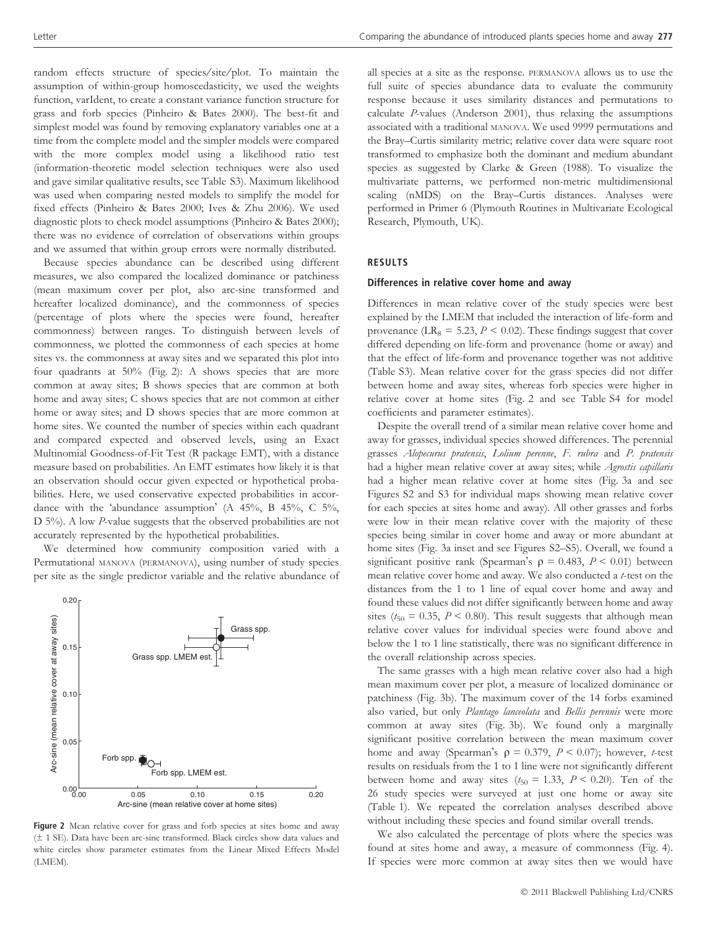random effects structure of species/site/plot. To maintain the assumption of within-group homoscedasticity, we used the weights function, varIdent, to create a constant variance function structure for grass and forb species (Pinheiro & Bates 2000). The best-fit and simplest model was found by removing explanatory variables one at a time from the complete model and the simpler models were compared with the more complex model using a likelihood ratio test (information-theoretic model selection techniques were also used and gave similar qualitative results, see Table S3). Maximum likelihood was used when comparing nested models to simplify the model for fixed effects (Pinheiro & Bates 2000; Ives & Zhu 2006). We used diagnostic plots to check model assumptions (Pinheiro & Bates 2000); there was no evidence of correlation of observations within groups and we assumed that within group errors were normally distributed.

Because species abundance can be described using different measures, we also compared the localized dominance or patchiness (mean maximum cover per plot, also arc-sine transformed and hereafter localized dominance), and the commonness of species (percentage of plots where the species were found, hereafter commonness) between ranges. To distinguish between levels of commonness, we plotted the commonness of each species at home sites vs. the commonness at away sites and we separated this plot into four quadrants at 50% (Fig. 2): A shows species that are more common at away sites; B shows species that are common at both home and away sites; C shows species that are not common at either home or away sites; and D shows species that are more common at home sites. We counted the number of species within each quadrant and compared expected and observed levels, using an Exact Multinomial Goodness-of-Fit Test (R package EMT), with a distance measure based on probabilities. An EMT estimates how likely it is that an observation should occur given expected or hypothetical probabilities. Here, we used conservative expected probabilities in accordance with the 'abundance assumption' (A 45%, B 45%, C 5%, D 5%). A low P-value suggests that the observed probabilities are not accurately represented by the hypothetical probabilities.

We determined how community composition varied with a Permutational MANOVA (PERMANOVA), using number of study species per site as the single predictor variable and the relative abundance of



Figure 2 Mean relative cover for grass and forb species at sites home and away (± 1 SE). Data have been arc-sine transformed. Black circles show data values and white circles show parameter estimates from the Linear Mixed Effects Model (LMEM).

all species at a site as the response. PERMANOVA allows us to use the full suite of species abundance data to evaluate the community response because it uses similarity distances and permutations to calculate P-values (Anderson 2001), thus relaxing the assumptions associated with a traditional MANOVA. We used 9999 permutations and the Bray–Curtis similarity metric; relative cover data were square root transformed to emphasize both the dominant and medium abundant species as suggested by Clarke & Green (1988). To visualize the multivariate patterns, we performed non-metric multidimensional scaling (nMDS) on the Bray–Curtis distances. Analyses were performed in Primer 6 (Plymouth Routines in Multivariate Ecological Research, Plymouth, UK).

## RESULTS

#### Differences in relative cover home and away

Differences in mean relative cover of the study species were best explained by the LMEM that included the interaction of life-form and provenance (LR<sub>8</sub> = 5.23,  $P < 0.02$ ). These findings suggest that cover differed depending on life-form and provenance (home or away) and that the effect of life-form and provenance together was not additive (Table S3). Mean relative cover for the grass species did not differ between home and away sites, whereas forb species were higher in relative cover at home sites (Fig. 2 and see Table S4 for model coefficients and parameter estimates).

Despite the overall trend of a similar mean relative cover home and away for grasses, individual species showed differences. The perennial grasses Alopecurus pratensis, Lolium perenne, F. rubra and P. pratensis had a higher mean relative cover at away sites; while Agrostis capillaris had a higher mean relative cover at home sites (Fig. 3a and see Figures S2 and S3 for individual maps showing mean relative cover for each species at sites home and away). All other grasses and forbs were low in their mean relative cover with the majority of these species being similar in cover home and away or more abundant at home sites (Fig. 3a inset and see Figures S2–S5). Overall, we found a significant positive rank (Spearman's  $\rho = 0.483$ ,  $P < 0.01$ ) between mean relative cover home and away. We also conducted a t-test on the distances from the 1 to 1 line of equal cover home and away and found these values did not differ significantly between home and away sites ( $t_{50} = 0.35$ ,  $P < 0.80$ ). This result suggests that although mean relative cover values for individual species were found above and below the 1 to 1 line statistically, there was no significant difference in the overall relationship across species.

The same grasses with a high mean relative cover also had a high mean maximum cover per plot, a measure of localized dominance or patchiness (Fig. 3b). The maximum cover of the 14 forbs examined also varied, but only Plantago lanceolata and Bellis perennis were more common at away sites (Fig. 3b). We found only a marginally significant positive correlation between the mean maximum cover home and away (Spearman's  $\rho = 0.379$ ,  $P < 0.07$ ); however, *t*-test results on residuals from the 1 to 1 line were not significantly different between home and away sites ( $t_{50} = 1.33$ ,  $P < 0.20$ ). Ten of the 26 study species were surveyed at just one home or away site (Table 1). We repeated the correlation analyses described above without including these species and found similar overall trends.

We also calculated the percentage of plots where the species was found at sites home and away, a measure of commonness (Fig. 4). If species were more common at away sites then we would have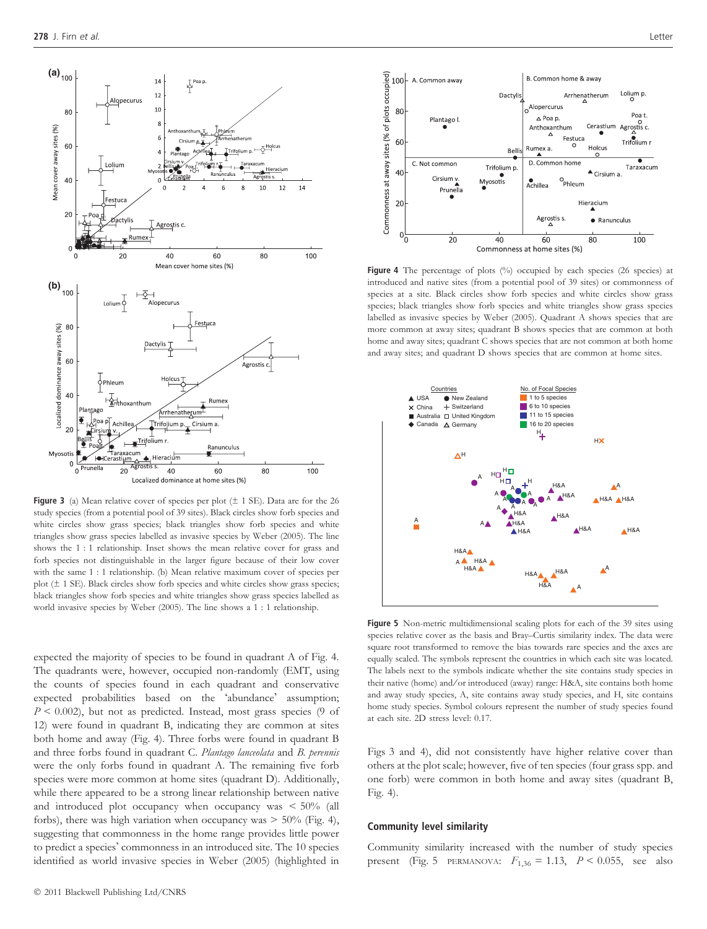

Figure 3 (a) Mean relative cover of species per plot  $(\pm 1 \text{ SE})$ . Data are for the 26 study species (from a potential pool of 39 sites). Black circles show forb species and white circles show grass species; black triangles show forb species and white triangles show grass species labelled as invasive species by Weber (2005). The line shows the 1 : 1 relationship. Inset shows the mean relative cover for grass and forb species not distinguishable in the larger figure because of their low cover with the same 1 : 1 relationship. (b) Mean relative maximum cover of species per plot  $(\pm 1 \text{ SE})$ . Black circles show forb species and white circles show grass species; black triangles show forb species and white triangles show grass species labelled as world invasive species by Weber (2005). The line shows a 1 : 1 relationship.

expected the majority of species to be found in quadrant A of Fig. 4. The quadrants were, however, occupied non-randomly (EMT, using the counts of species found in each quadrant and conservative expected probabilities based on the 'abundance' assumption;  $P < 0.002$ ), but not as predicted. Instead, most grass species (9 of 12) were found in quadrant B, indicating they are common at sites both home and away (Fig. 4). Three forbs were found in quadrant B and three forbs found in quadrant C. Plantago lanceolata and B. perennis were the only forbs found in quadrant A. The remaining five forb species were more common at home sites (quadrant D). Additionally, while there appeared to be a strong linear relationship between native and introduced plot occupancy when occupancy was  $\leq 50\%$  (all forbs), there was high variation when occupancy was  $> 50\%$  (Fig. 4), suggesting that commonness in the home range provides little power to predict a species' commonness in an introduced site. The 10 species identified as world invasive species in Weber (2005) (highlighted in



Figure 4 The percentage of plots (%) occupied by each species (26 species) at introduced and native sites (from a potential pool of 39 sites) or commonness of species at a site. Black circles show forb species and white circles show grass species; black triangles show forb species and white triangles show grass species labelled as invasive species by Weber (2005). Quadrant A shows species that are more common at away sites; quadrant B shows species that are common at both home and away sites; quadrant C shows species that are not common at both home and away sites; and quadrant D shows species that are common at home sites.



Figure 5 Non-metric multidimensional scaling plots for each of the 39 sites using species relative cover as the basis and Bray–Curtis similarity index. The data were square root transformed to remove the bias towards rare species and the axes are equally scaled. The symbols represent the countries in which each site was located. The labels next to the symbols indicate whether the site contains study species in their native (home) and/or introduced (away) range: H&A, site contains both home and away study species, A, site contains away study species, and H, site contains home study species. Symbol colours represent the number of study species found at each site. 2D stress level: 0.17.

Figs 3 and 4), did not consistently have higher relative cover than others at the plot scale; however, five of ten species (four grass spp. and one forb) were common in both home and away sites (quadrant B, Fig. 4).

#### Community level similarity

Community similarity increased with the number of study species present (Fig. 5 PERMANOVA:  $F_{1,36} = 1.13$ ,  $P < 0.055$ , see also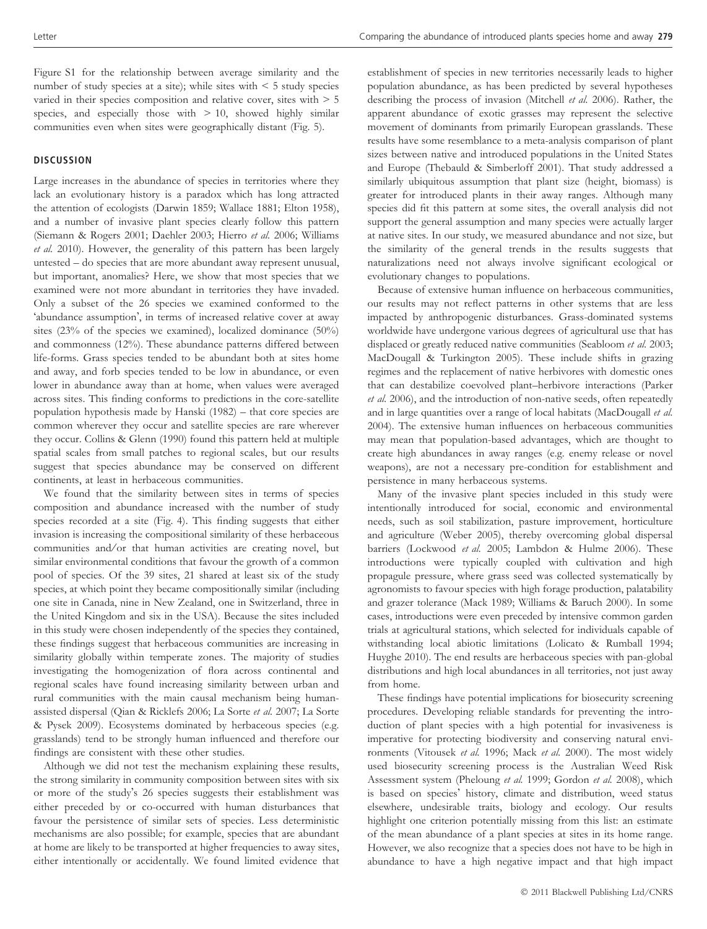Figure S1 for the relationship between average similarity and the number of study species at a site); while sites with  $\leq 5$  study species varied in their species composition and relative cover, sites with > 5 species, and especially those with  $> 10$ , showed highly similar communities even when sites were geographically distant (Fig. 5).

## **DISCUSSION**

Large increases in the abundance of species in territories where they lack an evolutionary history is a paradox which has long attracted the attention of ecologists (Darwin 1859; Wallace 1881; Elton 1958), and a number of invasive plant species clearly follow this pattern (Siemann & Rogers 2001; Daehler 2003; Hierro et al. 2006; Williams et al. 2010). However, the generality of this pattern has been largely untested – do species that are more abundant away represent unusual, but important, anomalies? Here, we show that most species that we examined were not more abundant in territories they have invaded. Only a subset of the 26 species we examined conformed to the 'abundance assumption', in terms of increased relative cover at away sites (23% of the species we examined), localized dominance (50%) and commonness (12%). These abundance patterns differed between life-forms. Grass species tended to be abundant both at sites home and away, and forb species tended to be low in abundance, or even lower in abundance away than at home, when values were averaged across sites. This finding conforms to predictions in the core-satellite population hypothesis made by Hanski (1982) – that core species are common wherever they occur and satellite species are rare wherever they occur. Collins & Glenn (1990) found this pattern held at multiple spatial scales from small patches to regional scales, but our results suggest that species abundance may be conserved on different continents, at least in herbaceous communities.

We found that the similarity between sites in terms of species composition and abundance increased with the number of study species recorded at a site (Fig. 4). This finding suggests that either invasion is increasing the compositional similarity of these herbaceous communities and/or that human activities are creating novel, but similar environmental conditions that favour the growth of a common pool of species. Of the 39 sites, 21 shared at least six of the study species, at which point they became compositionally similar (including one site in Canada, nine in New Zealand, one in Switzerland, three in the United Kingdom and six in the USA). Because the sites included in this study were chosen independently of the species they contained, these findings suggest that herbaceous communities are increasing in similarity globally within temperate zones. The majority of studies investigating the homogenization of flora across continental and regional scales have found increasing similarity between urban and rural communities with the main causal mechanism being humanassisted dispersal (Qian & Ricklefs 2006; La Sorte et al. 2007; La Sorte & Pysek 2009). Ecosystems dominated by herbaceous species (e.g. grasslands) tend to be strongly human influenced and therefore our findings are consistent with these other studies.

Although we did not test the mechanism explaining these results, the strong similarity in community composition between sites with six or more of the study's 26 species suggests their establishment was either preceded by or co-occurred with human disturbances that favour the persistence of similar sets of species. Less deterministic mechanisms are also possible; for example, species that are abundant at home are likely to be transported at higher frequencies to away sites, either intentionally or accidentally. We found limited evidence that

establishment of species in new territories necessarily leads to higher population abundance, as has been predicted by several hypotheses describing the process of invasion (Mitchell et al. 2006). Rather, the apparent abundance of exotic grasses may represent the selective movement of dominants from primarily European grasslands. These results have some resemblance to a meta-analysis comparison of plant sizes between native and introduced populations in the United States and Europe (Thebauld & Simberloff 2001). That study addressed a similarly ubiquitous assumption that plant size (height, biomass) is greater for introduced plants in their away ranges. Although many species did fit this pattern at some sites, the overall analysis did not support the general assumption and many species were actually larger at native sites. In our study, we measured abundance and not size, but the similarity of the general trends in the results suggests that naturalizations need not always involve significant ecological or evolutionary changes to populations.

Because of extensive human influence on herbaceous communities, our results may not reflect patterns in other systems that are less impacted by anthropogenic disturbances. Grass-dominated systems worldwide have undergone various degrees of agricultural use that has displaced or greatly reduced native communities (Seabloom et al. 2003; MacDougall & Turkington 2005). These include shifts in grazing regimes and the replacement of native herbivores with domestic ones that can destabilize coevolved plant–herbivore interactions (Parker et al. 2006), and the introduction of non-native seeds, often repeatedly and in large quantities over a range of local habitats (MacDougall et al. 2004). The extensive human influences on herbaceous communities may mean that population-based advantages, which are thought to create high abundances in away ranges (e.g. enemy release or novel weapons), are not a necessary pre-condition for establishment and persistence in many herbaceous systems.

Many of the invasive plant species included in this study were intentionally introduced for social, economic and environmental needs, such as soil stabilization, pasture improvement, horticulture and agriculture (Weber 2005), thereby overcoming global dispersal barriers (Lockwood et al. 2005; Lambdon & Hulme 2006). These introductions were typically coupled with cultivation and high propagule pressure, where grass seed was collected systematically by agronomists to favour species with high forage production, palatability and grazer tolerance (Mack 1989; Williams & Baruch 2000). In some cases, introductions were even preceded by intensive common garden trials at agricultural stations, which selected for individuals capable of withstanding local abiotic limitations (Lolicato & Rumball 1994; Huyghe 2010). The end results are herbaceous species with pan-global distributions and high local abundances in all territories, not just away from home.

These findings have potential implications for biosecurity screening procedures. Developing reliable standards for preventing the introduction of plant species with a high potential for invasiveness is imperative for protecting biodiversity and conserving natural environments (Vitousek et al. 1996; Mack et al. 2000). The most widely used biosecurity screening process is the Australian Weed Risk Assessment system (Pheloung et al. 1999; Gordon et al. 2008), which is based on species' history, climate and distribution, weed status elsewhere, undesirable traits, biology and ecology. Our results highlight one criterion potentially missing from this list: an estimate of the mean abundance of a plant species at sites in its home range. However, we also recognize that a species does not have to be high in abundance to have a high negative impact and that high impact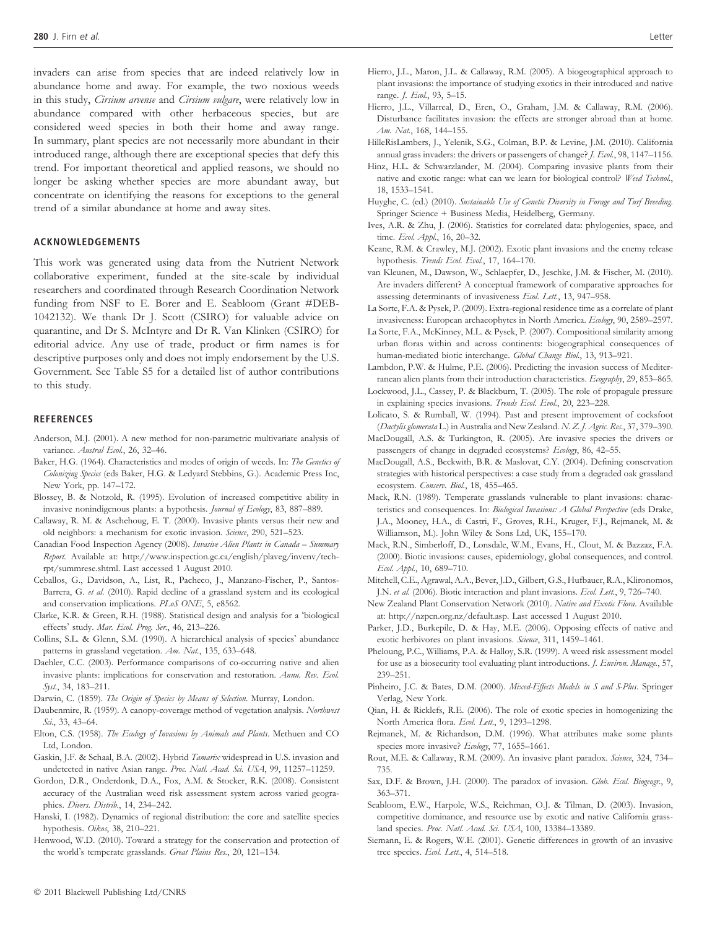invaders can arise from species that are indeed relatively low in abundance home and away. For example, the two noxious weeds in this study, Cirsium arvense and Cirsium vulgare, were relatively low in abundance compared with other herbaceous species, but are considered weed species in both their home and away range. In summary, plant species are not necessarily more abundant in their introduced range, although there are exceptional species that defy this trend. For important theoretical and applied reasons, we should no longer be asking whether species are more abundant away, but concentrate on identifying the reasons for exceptions to the general trend of a similar abundance at home and away sites.

#### ACKNOWLEDGEMENTS

This work was generated using data from the Nutrient Network collaborative experiment, funded at the site-scale by individual researchers and coordinated through Research Coordination Network funding from NSF to E. Borer and E. Seabloom (Grant #DEB-1042132). We thank Dr J. Scott (CSIRO) for valuable advice on quarantine, and Dr S. McIntyre and Dr R. Van Klinken (CSIRO) for editorial advice. Any use of trade, product or firm names is for descriptive purposes only and does not imply endorsement by the U.S. Government. See Table S5 for a detailed list of author contributions to this study.

#### **REFERENCES**

- Anderson, M.J. (2001). A new method for non-parametric multivariate analysis of variance. Austral Ecol., 26, 32-46.
- Baker, H.G. (1964). Characteristics and modes of origin of weeds. In: The Genetics of Colonizing Species (eds Baker, H.G. & Ledyard Stebbins, G.). Academic Press Inc, New York, pp. 147–172.
- Blossey, B. & Notzold, R. (1995). Evolution of increased competitive ability in invasive nonindigenous plants: a hypothesis. Journal of Ecology, 83, 887-889.
- Callaway, R. M. & Aschehoug, E. T. (2000). Invasive plants versus their new and old neighbors: a mechanism for exotic invasion. Science, 290, 521-523.
- Canadian Food Inspection Agency (2008). Invasive Alien Plants in Canada Summary Report. Available at: http://www.inspection.gc.ca/english/plaveg/invenv/techrpt/summrese.shtml. Last accessed 1 August 2010.
- Ceballos, G., Davidson, A., List, R., Pacheco, J., Manzano-Fischer, P., Santos-Barrera, G. et al. (2010). Rapid decline of a grassland system and its ecological and conservation implications. PLoS ONE, 5, e8562.
- Clarke, K.R. & Green, R.H. (1988). Statistical design and analysis for a biological effects' study. Mar. Ecol. Prog. Ser., 46, 213-226.
- Collins, S.L. & Glenn, S.M. (1990). A hierarchical analysis of species' abundance patterns in grassland vegetation. Am. Nat., 135, 633-648.
- Daehler, C.C. (2003). Performance comparisons of co-occurring native and alien invasive plants: implications for conservation and restoration. Annu. Rev. Ecol. Syst., 34, 183–211.
- Darwin, C. (1859). The Origin of Species by Means of Selection. Murray, London.
- Daubenmire, R. (1959). A canopy-coverage method of vegetation analysis. Northwest Sci., 33, 43–64.
- Elton, C.S. (1958). The Ecology of Invasions by Animals and Plants. Methuen and CO Ltd, London.
- Gaskin, J.F. & Schaal, B.A. (2002). Hybrid Tamarix widespread in U.S. invasion and undetected in native Asian range. Proc. Natl. Acad. Sci. USA, 99, 11257-11259.
- Gordon, D.R., Onderdonk, D.A., Fox, A.M. & Stocker, R.K. (2008). Consistent accuracy of the Australian weed risk assessment system across varied geographies. Divers. Distrib., 14, 234-242.
- Hanski, I. (1982). Dynamics of regional distribution: the core and satellite species hypothesis. Oikos, 38, 210–221.
- Henwood, W.D. (2010). Toward a strategy for the conservation and protection of the world's temperate grasslands. Great Plains Res., 20, 121-134.
- Hierro, J.L., Maron, J.L. & Callaway, R.M. (2005). A biogeographical approach to plant invasions: the importance of studying exotics in their introduced and native range. J. Ecol., 93, 5–15.
- Hierro, J.L., Villarreal, D., Eren, O., Graham, J.M. & Callaway, R.M. (2006). Disturbance facilitates invasion: the effects are stronger abroad than at home. Am. Nat., 168, 144–155.
- HilleRisLambers, J., Yelenik, S.G., Colman, B.P. & Levine, J.M. (2010). California annual grass invaders: the drivers or passengers of change? J. Ecol., 98, 1147–1156.
- Hinz, H.L. & Schwarzlander, M. (2004). Comparing invasive plants from their native and exotic range: what can we learn for biological control? Weed Technol., 18, 1533–1541.
- Huyghe, C. (ed.) (2010). Sustainable Use of Genetic Diversity in Forage and Turf Breeding. Springer Science + Business Media, Heidelberg, Germany.
- Ives, A.R. & Zhu, J. (2006). Statistics for correlated data: phylogenies, space, and time. Ecol. Appl., 16, 20-32.
- Keane, R.M. & Crawley, M.J. (2002). Exotic plant invasions and the enemy release hypothesis. Trends Ecol. Evol., 17, 164-170.
- van Kleunen, M., Dawson, W., Schlaepfer, D., Jeschke, J.M. & Fischer, M. (2010). Are invaders different? A conceptual framework of comparative approaches for assessing determinants of invasiveness Ecol. Lett., 13, 947-958.
- La Sorte, F.A. & Pysek, P. (2009). Extra-regional residence time as a correlate of plant invasiveness: European archaeophytes in North America. Ecology, 90, 2589–2597.
- La Sorte, F.A., McKinney, M.L. & Pysek, P. (2007). Compositional similarity among urban floras within and across continents: biogeographical consequences of human-mediated biotic interchange. Global Change Biol., 13, 913–921.
- Lambdon, P.W. & Hulme, P.E. (2006). Predicting the invasion success of Mediterranean alien plants from their introduction characteristics. Ecography, 29, 853–865.
- Lockwood, J.L., Cassey, P. & Blackburn, T. (2005). The role of propagule pressure in explaining species invasions. Trends Ecol. Evol., 20, 223–228.
- Lolicato, S. & Rumball, W. (1994). Past and present improvement of cocksfoot (Dactylis glomerata L.) in Australia and New Zealand. N. Z. J. Agric. Res., 37, 379–390.
- MacDougall, A.S. & Turkington, R. (2005). Are invasive species the drivers or passengers of change in degraded ecosystems? Ecology, 86, 42-55.
- MacDougall, A.S., Beckwith, B.R. & Maslovat, C.Y. (2004). Defining conservation strategies with historical perspectives: a case study from a degraded oak grassland ecosystem. Conserv. Biol., 18, 455–465.
- Mack, R.N. (1989). Temperate grasslands vulnerable to plant invasions: characteristics and consequences. In: Biological Invasions: A Global Perspective (eds Drake, J.A., Mooney, H.A., di Castri, F., Groves, R.H., Kruger, F.J., Rejmanek, M. & Williamson, M.). John Wiley & Sons Ltd, UK, 155–170.
- Mack, R.N., Simberloff, D., Lonsdale, W.M., Evans, H., Clout, M. & Bazzaz, F.A. (2000). Biotic invasions: causes, epidemiology, global consequences, and control. Ecol. Appl., 10, 689–710.
- Mitchell, C.E., Agrawal, A.A., Bever, J.D., Gilbert, G.S., Hufbauer, R.A., Klironomos, J.N. et al. (2006). Biotic interaction and plant invasions. Ecol. Lett., 9, 726-740.
- New Zealand Plant Conservation Network (2010). Native and Exotic Flora. Available at: http://nzpcn.org.nz/default.asp. Last accessed 1 August 2010.
- Parker, J.D., Burkepile, D. & Hay, M.E. (2006). Opposing effects of native and exotic herbivores on plant invasions. Science, 311, 1459-1461.
- Pheloung, P.C., Williams, P.A. & Halloy, S.R. (1999). A weed risk assessment model for use as a biosecurity tool evaluating plant introductions. J. Environ. Manage., 57, 239–251.
- Pinheiro, J.C. & Bates, D.M. (2000). Mixed-Effects Models in S and S-Plus. Springer Verlag, New York.
- Qian, H. & Ricklefs, R.E. (2006). The role of exotic species in homogenizing the North America flora. Ecol. Lett., 9, 1293–1298.
- Rejmanek, M. & Richardson, D.M. (1996). What attributes make some plants species more invasive? Ecology, 77, 1655-1661.
- Rout, M.E. & Callaway, R.M. (2009). An invasive plant paradox. Science, 324, 734-735.
- Sax, D.F. & Brown, J.H. (2000). The paradox of invasion. Glob. Ecol. Biogeogr., 9, 363–371.
- Seabloom, E.W., Harpole, W.S., Reichman, O.J. & Tilman, D. (2003). Invasion, competitive dominance, and resource use by exotic and native California grassland species. Proc. Natl. Acad. Sci. USA, 100, 13384-13389.
- Siemann, E. & Rogers, W.E. (2001). Genetic differences in growth of an invasive tree species. Ecol. Lett., 4, 514-518.